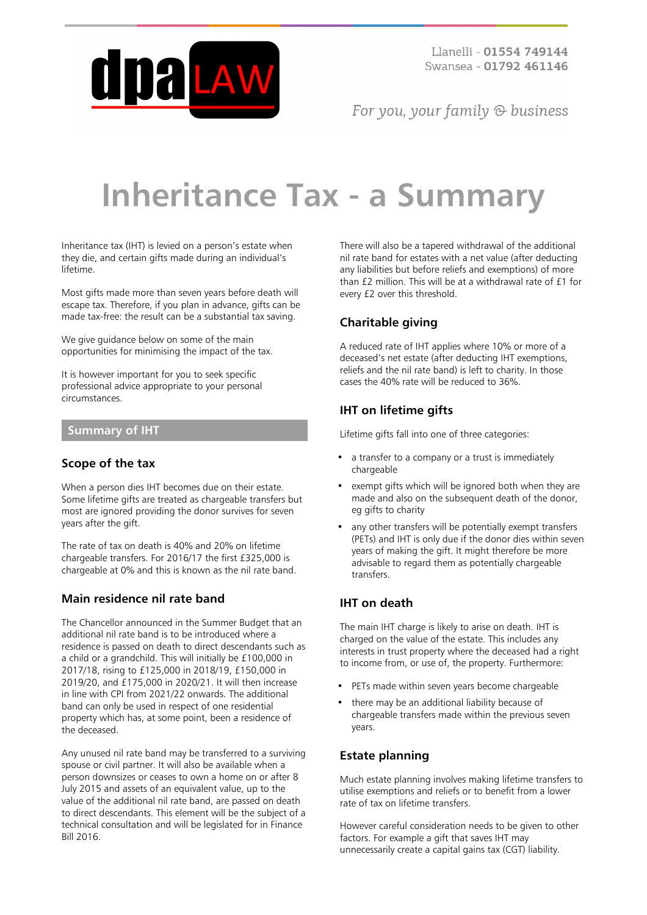

For you, your family  $\odot$  business

# **Inheritance Tax - a Summary**

Inheritance tax (IHT) is levied on a person's estate when they die, and certain gifts made during an individual's lifetime.

Most gifts made more than seven years before death will escape tax. Therefore, if you plan in advance, gifts can be made tax-free: the result can be a substantial tax saving.

We give guidance below on some of the main opportunities for minimising the impact of the tax.

It is however important for you to seek specific professional advice appropriate to your personal circumstances.

#### **Summary of IHT**

#### **Scope of the tax**

When a person dies IHT becomes due on their estate. Some lifetime gifts are treated as chargeable transfers but most are ignored providing the donor survives for seven years after the gift.

The rate of tax on death is 40% and 20% on lifetime chargeable transfers. For 2016/17 the first £325,000 is chargeable at 0% and this is known as the nil rate band.

#### **Main residence nil rate band**

The Chancellor announced in the Summer Budget that an additional nil rate band is to be introduced where a residence is passed on death to direct descendants such as a child or a grandchild. This will initially be £100,000 in 2017/18, rising to £125,000 in 2018/19, £150,000 in 2019/20, and £175,000 in 2020/21. It will then increase in line with CPI from 2021/22 onwards. The additional band can only be used in respect of one residential property which has, at some point, been a residence of the deceased.

Any unused nil rate band may be transferred to a surviving spouse or civil partner. It will also be available when a person downsizes or ceases to own a home on or after 8 July 2015 and assets of an equivalent value, up to the value of the additional nil rate band, are passed on death to direct descendants. This element will be the subject of a technical consultation and will be legislated for in Finance Bill 2016.

There will also be a tapered withdrawal of the additional nil rate band for estates with a net value (after deducting any liabilities but before reliefs and exemptions) of more than £2 million. This will be at a withdrawal rate of £1 for every £2 over this threshold.

# **Charitable giving**

A reduced rate of IHT applies where 10% or more of a deceased's net estate (after deducting IHT exemptions, reliefs and the nil rate band) is left to charity. In those cases the 40% rate will be reduced to 36%.

# **IHT on lifetime gifts**

Lifetime gifts fall into one of three categories:

- a transfer to a company or a trust is immediately chargeable
- exempt gifts which will be ignored both when they are made and also on the subsequent death of the donor, eg gifts to charity
- any other transfers will be potentially exempt transfers (PETs) and IHT is only due if the donor dies within seven years of making the gift. It might therefore be more advisable to regard them as potentially chargeable transfers.

# **IHT on death**

The main IHT charge is likely to arise on death. IHT is charged on the value of the estate. This includes any interests in trust property where the deceased had a right to income from, or use of, the property. Furthermore:

- PETs made within seven years become chargeable
- there may be an additional liability because of chargeable transfers made within the previous seven years.

# **Estate planning**

Much estate planning involves making lifetime transfers to utilise exemptions and reliefs or to benefit from a lower rate of tax on lifetime transfers.

However careful consideration needs to be given to other factors. For example a gift that saves IHT may unnecessarily create a capital gains tax (CGT) liability.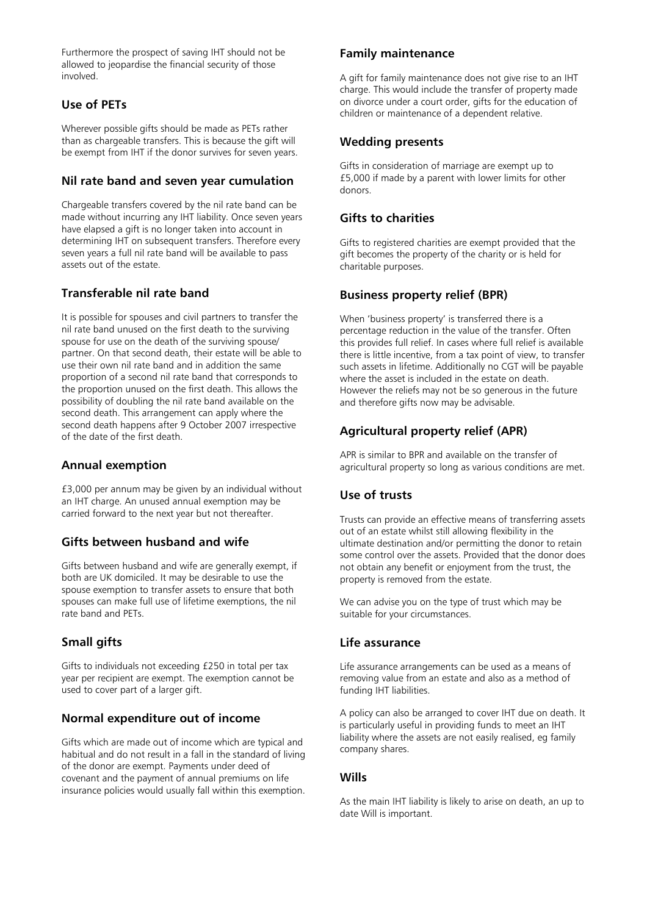Furthermore the prospect of saving IHT should not be allowed to jeopardise the financial security of those involved.

# **Use of PETs**

Wherever possible gifts should be made as PETs rather than as chargeable transfers. This is because the gift will be exempt from IHT if the donor survives for seven years.

#### **Nil rate band and seven year cumulation**

Chargeable transfers covered by the nil rate band can be made without incurring any IHT liability. Once seven years have elapsed a gift is no longer taken into account in determining IHT on subsequent transfers. Therefore every seven years a full nil rate band will be available to pass assets out of the estate.

# **Transferable nil rate band**

It is possible for spouses and civil partners to transfer the nil rate band unused on the first death to the surviving spouse for use on the death of the surviving spouse/ partner. On that second death, their estate will be able to use their own nil rate band and in addition the same proportion of a second nil rate band that corresponds to the proportion unused on the first death. This allows the possibility of doubling the nil rate band available on the second death. This arrangement can apply where the second death happens after 9 October 2007 irrespective of the date of the first death.

#### **Annual exemption**

£3,000 per annum may be given by an individual without an IHT charge. An unused annual exemption may be carried forward to the next year but not thereafter.

#### **Gifts between husband and wife**

Gifts between husband and wife are generally exempt, if both are UK domiciled. It may be desirable to use the spouse exemption to transfer assets to ensure that both spouses can make full use of lifetime exemptions, the nil rate band and PETs.

#### **Small gifts**

Gifts to individuals not exceeding £250 in total per tax year per recipient are exempt. The exemption cannot be used to cover part of a larger gift.

#### **Normal expenditure out of income**

Gifts which are made out of income which are typical and habitual and do not result in a fall in the standard of living of the donor are exempt. Payments under deed of covenant and the payment of annual premiums on life insurance policies would usually fall within this exemption.

#### **Family maintenance**

A gift for family maintenance does not give rise to an IHT charge. This would include the transfer of property made on divorce under a court order, gifts for the education of children or maintenance of a dependent relative.

#### **Wedding presents**

Gifts in consideration of marriage are exempt up to £5,000 if made by a parent with lower limits for other donors.

#### **Gifts to charities**

Gifts to registered charities are exempt provided that the gift becomes the property of the charity or is held for charitable purposes.

#### **Business property relief (BPR)**

When 'business property' is transferred there is a percentage reduction in the value of the transfer. Often this provides full relief. In cases where full relief is available there is little incentive, from a tax point of view, to transfer such assets in lifetime. Additionally no CGT will be payable where the asset is included in the estate on death. However the reliefs may not be so generous in the future and therefore gifts now may be advisable.

#### **Agricultural property relief (APR)**

APR is similar to BPR and available on the transfer of agricultural property so long as various conditions are met.

## **Use of trusts**

Trusts can provide an effective means of transferring assets out of an estate whilst still allowing flexibility in the ultimate destination and/or permitting the donor to retain some control over the assets. Provided that the donor does not obtain any benefit or enjoyment from the trust, the property is removed from the estate.

We can advise you on the type of trust which may be suitable for your circumstances.

## **Life assurance**

Life assurance arrangements can be used as a means of removing value from an estate and also as a method of funding IHT liabilities.

A policy can also be arranged to cover IHT due on death. It is particularly useful in providing funds to meet an IHT liability where the assets are not easily realised, eg family company shares.

#### **Wills**

As the main IHT liability is likely to arise on death, an up to date Will is important.